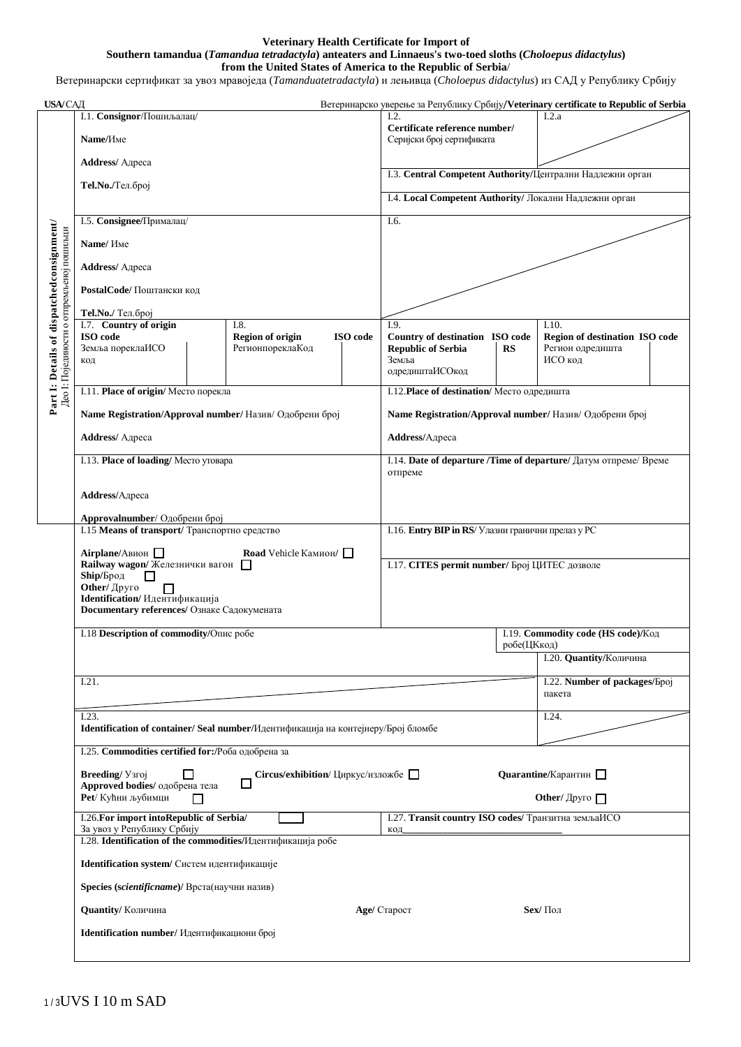## **Veterinary Health Certificate for Import of Southern tamandua (***Tamandua tetradactyla***) anteaters and Linnaeus's two-toed sloths (***Choloepus didactylus***) from the United States of America to the Republic of Serbia**/

Ветеринарски сертификат за увоз мравоједа (*Tamanduatetradactyla*) и лењивца (*Choloepus didactylus*) из САД у Републику Србију

| <b>USA/САД</b>                                                                                                                                 |                                                                                   |                                             |                                                     |                                                                       |             | Ветеринарско уверење за Републику Србију/Veterinary certificate to Republic of Serbia |
|------------------------------------------------------------------------------------------------------------------------------------------------|-----------------------------------------------------------------------------------|---------------------------------------------|-----------------------------------------------------|-----------------------------------------------------------------------|-------------|---------------------------------------------------------------------------------------|
|                                                                                                                                                | I.1. Consignor/Пошиљалац/                                                         |                                             |                                                     | L2.                                                                   |             | I.2.a                                                                                 |
|                                                                                                                                                | Name/Име                                                                          |                                             |                                                     | Certificate reference number/<br>Серијски број сертификата            |             |                                                                                       |
|                                                                                                                                                | <b>Address/</b> Адреса                                                            |                                             |                                                     |                                                                       |             |                                                                                       |
|                                                                                                                                                | Теl.No./Тел.број                                                                  |                                             |                                                     | І.3. Central Competent Authority/Централни Надлежни орган             |             |                                                                                       |
|                                                                                                                                                |                                                                                   |                                             |                                                     | I.4. Local Competent Authority/ Локални Надлежни орган                |             |                                                                                       |
|                                                                                                                                                | І.5. Consignee/Прималац/                                                          |                                             |                                                     | I.6.                                                                  |             |                                                                                       |
| Part I: Details of dispatchedconsignment/<br>Део 1: Појединости о отпремљеној пошиљци                                                          | Name/ Име                                                                         |                                             |                                                     |                                                                       |             |                                                                                       |
|                                                                                                                                                | <b>Address/</b> Адреса                                                            |                                             |                                                     |                                                                       |             |                                                                                       |
|                                                                                                                                                | PostalCode/ Поштански код                                                         |                                             |                                                     |                                                                       |             |                                                                                       |
|                                                                                                                                                | Теl. No./ Тел. број                                                               |                                             |                                                     |                                                                       |             |                                                                                       |
|                                                                                                                                                | I.7. Country of origin                                                            | I.8.                                        |                                                     | I.9.                                                                  |             | I.10.                                                                                 |
|                                                                                                                                                | ISO code<br>Земља пореклаИСО<br>код                                               | <b>Region of origin</b><br>РегионпореклаКод | ISO code                                            | Country of destination ISO code<br><b>Republic of Serbia</b><br>Земља | <b>RS</b>   | Region of destination ISO code<br>Регион одредишта<br>ИСО код                         |
|                                                                                                                                                |                                                                                   |                                             |                                                     | одредиштаИСОкод                                                       |             |                                                                                       |
|                                                                                                                                                | I.11. Place of origin/ Место порекла                                              |                                             |                                                     | I.12. Place of destination/ Место одредишта                           |             |                                                                                       |
|                                                                                                                                                | Name Registration/Approval number/ Назив/ Одобрени број                           |                                             |                                                     | Name Registration/Approval number/ Назив/ Одобрени број               |             |                                                                                       |
|                                                                                                                                                | <b>Address/</b> Адреса                                                            |                                             |                                                     | Address/Адреса                                                        |             |                                                                                       |
|                                                                                                                                                | I.13. Place of loading/ Место утовара                                             |                                             |                                                     | отпреме                                                               |             | I.14. Date of departure /Time of departure/ Датум отпреме/ Време                      |
|                                                                                                                                                | Address/Адреса                                                                    |                                             |                                                     |                                                                       |             |                                                                                       |
|                                                                                                                                                | Approvalnumber/ Одобрени број                                                     |                                             |                                                     |                                                                       |             |                                                                                       |
|                                                                                                                                                | I.15 Means of transport/ Транспортно средство                                     |                                             |                                                     | I.16. Entry BIP in RS/ Улазни гранични прелаз у РС                    |             |                                                                                       |
|                                                                                                                                                | Airplane/Авион П<br>Road Vehicle Камион/<br>Railway wagon/ Железнички вагон       |                                             |                                                     | I.17. CITES permit number/ Број ЦИТЕС дозволе                         |             |                                                                                       |
|                                                                                                                                                | Ship/Брод                                                                         |                                             |                                                     |                                                                       |             |                                                                                       |
|                                                                                                                                                | Other/ Друго<br>Other/ Друго<br>Identification/ Идентификација                    |                                             |                                                     |                                                                       |             |                                                                                       |
|                                                                                                                                                | Documentary references/ Ознаке Садокумената                                       |                                             |                                                     |                                                                       |             |                                                                                       |
|                                                                                                                                                | I.18 Description of commodity/Опис робе                                           |                                             |                                                     |                                                                       |             | I.19. Commodity code (HS code)/Код                                                    |
|                                                                                                                                                |                                                                                   |                                             |                                                     |                                                                       | робе(ЦКкод) | I.20. Quantity/Количина                                                               |
|                                                                                                                                                |                                                                                   |                                             |                                                     |                                                                       |             |                                                                                       |
|                                                                                                                                                | I.21.                                                                             |                                             |                                                     |                                                                       |             | I.22. Number of packages/Epoj<br>пакета                                               |
|                                                                                                                                                | I.23.                                                                             |                                             |                                                     |                                                                       |             | I.24.                                                                                 |
|                                                                                                                                                | Identification of container/ Seal number/Идентификација на контејнеру/Број бломбе |                                             |                                                     |                                                                       |             |                                                                                       |
| I.25. Commodities certified for:/Роба одобрена за<br>Breeding/ <i>Y</i> 3roj<br>Quarantine/Карантин<br>ΙI<br>Circus/exhibition/ Циркус/изложбе |                                                                                   |                                             |                                                     |                                                                       |             |                                                                                       |
|                                                                                                                                                |                                                                                   |                                             |                                                     |                                                                       |             |                                                                                       |
|                                                                                                                                                | Approved bodies/ одобрена тела<br>Pet/ Кућни љубимци<br>П                         |                                             | Other/ $\Delta$ pyro                                |                                                                       |             |                                                                                       |
|                                                                                                                                                | I.26. For import into Republic of Serbia/                                         |                                             | I.27. Transit country ISO codes/ Транзитна земљаИСО |                                                                       |             |                                                                                       |
|                                                                                                                                                | За увоз у Републику Србију                                                        |                                             |                                                     | КОД                                                                   |             |                                                                                       |
|                                                                                                                                                | I.28. Identification of the commodities/Идентификација робе                       |                                             |                                                     |                                                                       |             |                                                                                       |
|                                                                                                                                                | Identification system/ Систем идентификације                                      |                                             |                                                     |                                                                       |             |                                                                                       |
|                                                                                                                                                | Species (scientificname)/ Врста(научни назив)                                     |                                             |                                                     |                                                                       |             |                                                                                       |
|                                                                                                                                                | <b>Quantity/ Количина</b>                                                         |                                             |                                                     | Sex/ Пол<br>Age/ Старост                                              |             |                                                                                       |
|                                                                                                                                                | Identification number/ Идентификациони број                                       |                                             |                                                     |                                                                       |             |                                                                                       |
|                                                                                                                                                |                                                                                   |                                             |                                                     |                                                                       |             |                                                                                       |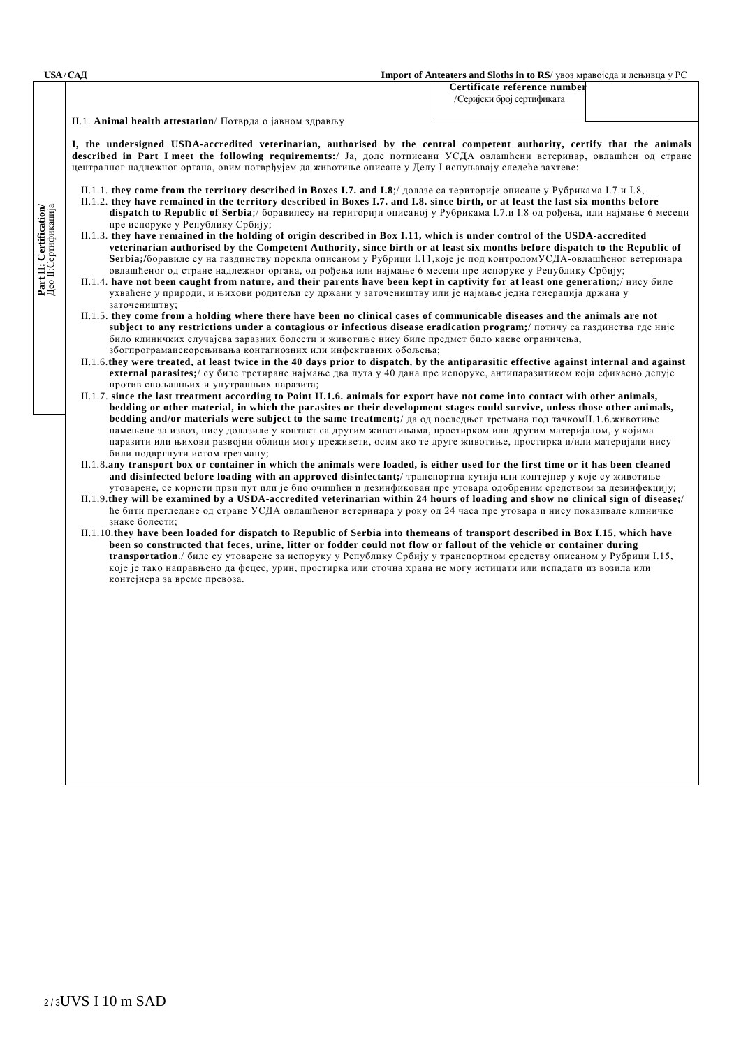**Part II: Certification/** Део II:Сертификација

Part II: Certification/<br>Део II:Сертификација

**USA** / **САД Import of Anteaters and Sloths in to RS**/ увоз мравоједа и лењивца у РС

 **Certificate reference number** /Серијски број сертификата

II.1. **Animal health attestation**/ Потврда о јавном здрављу

**I, the undersigned USDA-accredited veterinarian, authorised by the central competent authority, certify that the animals described in Part I meet the following requirements:**/ Ја, доле потписани УСДА овлашћени ветеринар, овлашћен од стране централног надлежног органа, овим потврђујем да животиње описане у Делу I испуњавају следеће захтеве:

- II.1.1. **they come from the territory described in Boxes I.7. and I.8**;/ долазе са територије описане у Рубрикама I.7.и I.8,
- II.1.2. **they have remained in the territory described in Boxes I.7. and I.8. since birth, or at least the last six months before dispatch to Republic of Serbia**;/ боравилесу на територији описаној у Рубрикама I.7.и I.8 од рођења, или најмање 6 месеци пре испоруке у Републику Србију;
- II.1.3. **they have remained in the holding of origin described in Box I.11, which is under control of the USDA-accredited veterinarian authorised by the Competent Authority, since birth or at least six months before dispatch to the Republic of Serbia;/**боравиле су на газдинству порекла описаном у Рубрици I.11,које је под контроломУСДА-овлашћеног ветеринара овлашћеног од стране надлежног органа, од рођења или најмање 6 месеци пре испоруке у Републику Србију;
- II.1.4. **have not been caught from nature, and their parents have been kept in captivity for at least one generation**;/ нису биле ухваћене у природи, и њихови родитељи су држани у заточеништву или је најмање једна генерација држана у заточеништву;
- II.1.5. **they come from a holding where there have been no clinical cases of communicable diseases and the animals are not subject to any restrictions under a contagious or infectious disease eradication program;**/ потичу са газдинства где није било клиничких случајева заразних болести и животиње нису биле предмет било какве ограничења, збогпрограмаискорењивања контагиозних или инфективних обољења;
- II.1.6.**they were treated, at least twice in the 40 days prior to dispatch, by the antiparasitic effective against internal and against external parasites;**/ су биле третиране најмање два пута у 40 дана пре испоруке, антипаразитиком који ефикасно делује против спољашњих и унутрашњих паразита;
- II.1.7. **since the last treatment according to Point II.1.6. animals for export have not come into contact with other animals, bedding or other material, in which the parasites or their development stages could survive, unless those other animals, bedding and/or materials were subject to the same treatment;**/ да од последњег третмана под тачкомII.1.6.животиње намењене за извоз, нису долазиле у контакт са другим животињама, простирком или другим материјалом, у којима паразити или њихови развојни облици могу преживети, осим ако те друге животиње, простирка и/или материјали нису били подвргнути истом третману;
- II.1.8.any transport box or container in which the animals were loaded, is either used for the first time or it has been cleaned **and disinfected before loading with an approved disinfectant;**/ транспортна кутија или контејнер у које су животиње утоварене, се користи први пут или је био очишћен и дезинфикован пре утовара одобреним средством за дезинфекцију;
- II.1.9.**they will be examined by a USDA-accredited veterinarian within 24 hours of loading and show no clinical sign of disease;**/ ће бити прегледане од стране УСДА овлашћеног ветеринара у року од 24 часа пре утовара и нису показивале клиничке знаке болести;
- II.1.10.**they have been loaded for dispatch to Republic of Serbia into themeans of transport described in Box I.15, which have been so constructed that feces, urine, litter or fodder could not flow or fallout of the vehicle or container during transportation**./ биле су утоварене за испоруку у Републику Србију у транспортном средству описаном у Рубрици I.15, које је тако направњено да фецес, урин, простирка или сточна храна не могу истицати или испадати из возила или контејнера за време превоза.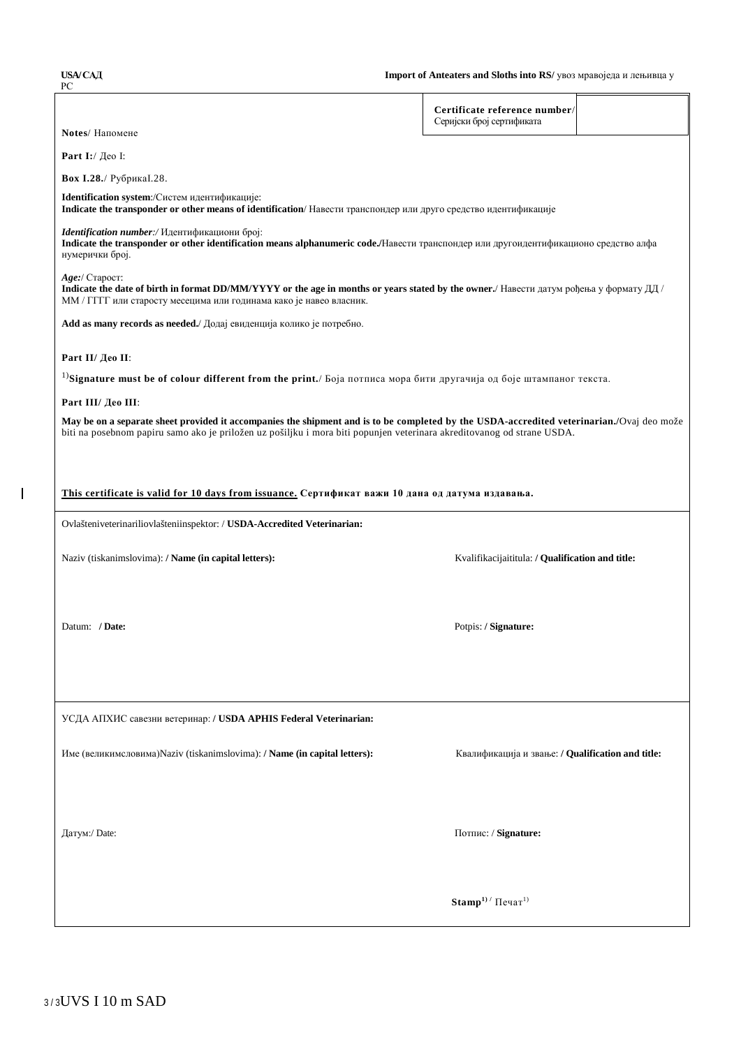РС

 $\mathbf I$ 

| Notes/ Напомене                                                                                                                                                                                                                  | Certificate reference number/<br>Серијски број сертификата |  |  |  |  |  |  |  |
|----------------------------------------------------------------------------------------------------------------------------------------------------------------------------------------------------------------------------------|------------------------------------------------------------|--|--|--|--|--|--|--|
|                                                                                                                                                                                                                                  |                                                            |  |  |  |  |  |  |  |
| Part I:/ Део I:                                                                                                                                                                                                                  |                                                            |  |  |  |  |  |  |  |
| Вох І.28./ Рубрика І.28.                                                                                                                                                                                                         |                                                            |  |  |  |  |  |  |  |
| Identification system:/Систем идентификације:<br>Indicate the transponder or other means of identification/ Навести транспондер или друго средство идентификације                                                                |                                                            |  |  |  |  |  |  |  |
| Identification number:/ Идентификациони број:<br>Indicate the transponder or other identification means alphanumeric code./Навести транспондер или другоидентификационо средство алфа<br>нумерички број.                         |                                                            |  |  |  |  |  |  |  |
| Age:/ Старост:<br>Indicate the date of birth in format DD/MM/YYYY or the age in months or years stated by the owner./ Навести датум рођења у формату ДД /<br>ММ / ГГГГ или старосту месецима или годинама како је навео власник. |                                                            |  |  |  |  |  |  |  |
| Add as many records as needed./ Додај евиденција колико је потребно.                                                                                                                                                             |                                                            |  |  |  |  |  |  |  |
| Part II/ Део II:                                                                                                                                                                                                                 |                                                            |  |  |  |  |  |  |  |
| <sup>1)</sup> Signature must be of colour different from the print./ Боја потписа мора бити другачија од боје штампаног текста.                                                                                                  |                                                            |  |  |  |  |  |  |  |
| Part III/ Део III:                                                                                                                                                                                                               |                                                            |  |  |  |  |  |  |  |
| May be on a separate sheet provided it accompanies the shipment and is to be completed by the USDA-accredited veterinarian./Ovaj deo može                                                                                        |                                                            |  |  |  |  |  |  |  |
| biti na posebnom papiru samo ako je priložen uz pošiljku i mora biti popunjen veterinara akreditovanog od strane USDA.                                                                                                           |                                                            |  |  |  |  |  |  |  |
|                                                                                                                                                                                                                                  |                                                            |  |  |  |  |  |  |  |
| This certificate is valid for 10 days from issuance. Сертификат важи 10 дана од датума издавања.                                                                                                                                 |                                                            |  |  |  |  |  |  |  |
| Ovlašteniveterinariliovlašteniinspektor: / USDA-Accredited Veterinarian:                                                                                                                                                         |                                                            |  |  |  |  |  |  |  |
| Naziv (tiskanimslovima): / Name (in capital letters):                                                                                                                                                                            | Kvalifikacijaititula: / Qualification and title:           |  |  |  |  |  |  |  |
|                                                                                                                                                                                                                                  |                                                            |  |  |  |  |  |  |  |
| Datum: / Date:                                                                                                                                                                                                                   | Potpis: / Signature:                                       |  |  |  |  |  |  |  |
|                                                                                                                                                                                                                                  |                                                            |  |  |  |  |  |  |  |
|                                                                                                                                                                                                                                  |                                                            |  |  |  |  |  |  |  |
| УСДА АПХИС савезни ветеринар: / USDA APHIS Federal Veterinarian:                                                                                                                                                                 |                                                            |  |  |  |  |  |  |  |
| Име (великимсловима) Naziv (tiskanimslovima): / Name (in capital letters):                                                                                                                                                       | Квалификација и звање: / Qualification and title:          |  |  |  |  |  |  |  |
|                                                                                                                                                                                                                                  |                                                            |  |  |  |  |  |  |  |
|                                                                                                                                                                                                                                  |                                                            |  |  |  |  |  |  |  |
|                                                                                                                                                                                                                                  |                                                            |  |  |  |  |  |  |  |
| Датум:/ Date:<br>Потпис: / Signature:                                                                                                                                                                                            |                                                            |  |  |  |  |  |  |  |
|                                                                                                                                                                                                                                  |                                                            |  |  |  |  |  |  |  |
|                                                                                                                                                                                                                                  |                                                            |  |  |  |  |  |  |  |
|                                                                                                                                                                                                                                  | $Stamp1) / \Pi$ ечат <sup>1)</sup>                         |  |  |  |  |  |  |  |
|                                                                                                                                                                                                                                  |                                                            |  |  |  |  |  |  |  |